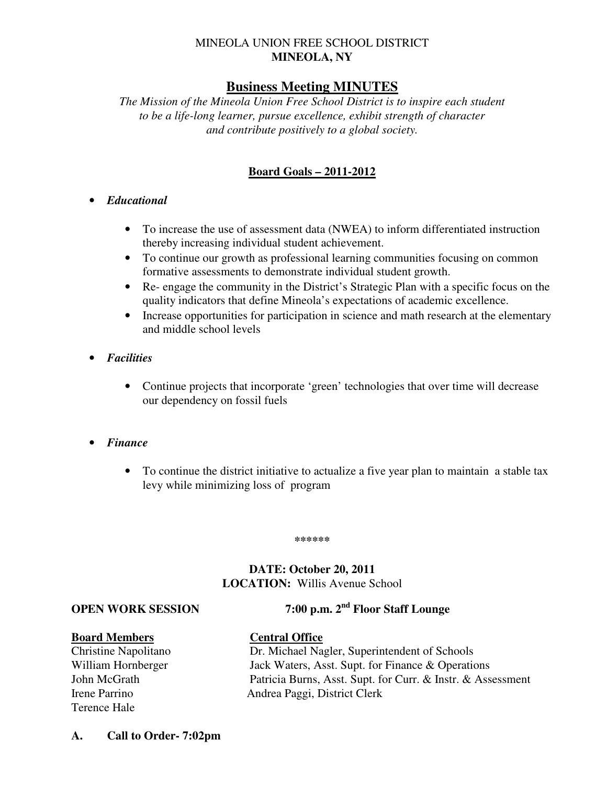# MINEOLA UNION FREE SCHOOL DISTRICT **MINEOLA, NY**

# **Business Meeting MINUTES**

*The Mission of the Mineola Union Free School District is to inspire each student to be a life-long learner, pursue excellence, exhibit strength of character and contribute positively to a global society.* 

# **Board Goals – 2011-2012**

#### • *Educational*

- To increase the use of assessment data (NWEA) to inform differentiated instruction thereby increasing individual student achievement.
- To continue our growth as professional learning communities focusing on common formative assessments to demonstrate individual student growth.
- Re- engage the community in the District's Strategic Plan with a specific focus on the quality indicators that define Mineola's expectations of academic excellence.
- Increase opportunities for participation in science and math research at the elementary and middle school levels
- *Facilities* 
	- Continue projects that incorporate 'green' technologies that over time will decrease our dependency on fossil fuels
- *Finance* 
	- To continue the district initiative to actualize a five year plan to maintain a stable tax levy while minimizing loss of program

#### **\*\*\*\*\*\***

# **DATE: October 20, 2011 LOCATION:** Willis Avenue School

**OPEN WORK SESSION 7:00 p.m. 2nd Floor Staff Lounge** 

#### **Board Members Central Office**

Terence Hale

- Christine Napolitano Dr. Michael Nagler, Superintendent of Schools William Hornberger Jack Waters, Asst. Supt. for Finance & Operations John McGrath Patricia Burns, Asst. Supt. for Curr. & Instr. & Assessment Irene Parrino Andrea Paggi, District Clerk
- **A. Call to Order- 7:02pm**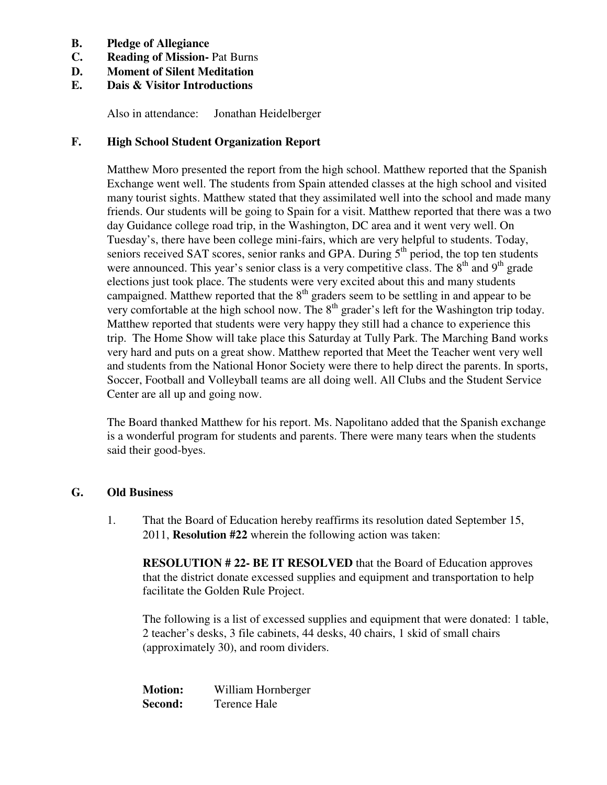- **B. Pledge of Allegiance**
- **C. Reading of Mission-** Pat Burns
- **D. Moment of Silent Meditation**
- **E. Dais & Visitor Introductions**

Also in attendance: Jonathan Heidelberger

### **F. High School Student Organization Report**

Matthew Moro presented the report from the high school. Matthew reported that the Spanish Exchange went well. The students from Spain attended classes at the high school and visited many tourist sights. Matthew stated that they assimilated well into the school and made many friends. Our students will be going to Spain for a visit. Matthew reported that there was a two day Guidance college road trip, in the Washington, DC area and it went very well. On Tuesday's, there have been college mini-fairs, which are very helpful to students. Today, seniors received SAT scores, senior ranks and GPA. During  $5<sup>th</sup>$  period, the top ten students were announced. This year's senior class is a very competitive class. The  $8<sup>th</sup>$  and  $9<sup>th</sup>$  grade elections just took place. The students were very excited about this and many students campaigned. Matthew reported that the 8<sup>th</sup> graders seem to be settling in and appear to be very comfortable at the high school now. The  $8<sup>th</sup>$  grader's left for the Washington trip today. Matthew reported that students were very happy they still had a chance to experience this trip. The Home Show will take place this Saturday at Tully Park. The Marching Band works very hard and puts on a great show. Matthew reported that Meet the Teacher went very well and students from the National Honor Society were there to help direct the parents. In sports, Soccer, Football and Volleyball teams are all doing well. All Clubs and the Student Service Center are all up and going now.

The Board thanked Matthew for his report. Ms. Napolitano added that the Spanish exchange is a wonderful program for students and parents. There were many tears when the students said their good-byes.

#### **G. Old Business**

1. That the Board of Education hereby reaffirms its resolution dated September 15, 2011, **Resolution #22** wherein the following action was taken:

**RESOLUTION # 22- BE IT RESOLVED** that the Board of Education approves that the district donate excessed supplies and equipment and transportation to help facilitate the Golden Rule Project.

 The following is a list of excessed supplies and equipment that were donated: 1 table, 2 teacher's desks, 3 file cabinets, 44 desks, 40 chairs, 1 skid of small chairs (approximately 30), and room dividers.

**Motion:** William Hornberger **Second:** Terence Hale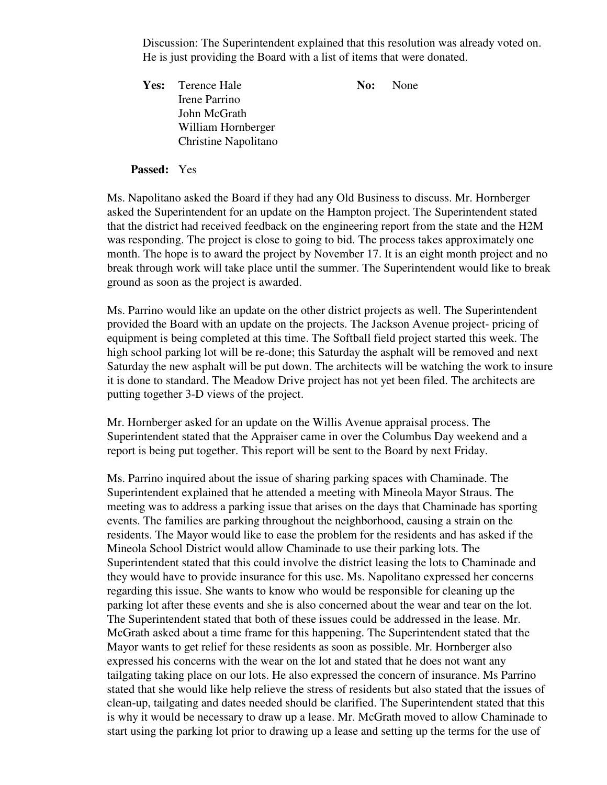Discussion: The Superintendent explained that this resolution was already voted on. He is just providing the Board with a list of items that were donated.

Yes: Terence Hale **No:** None Irene Parrino John McGrath William Hornberger Christine Napolitano

#### **Passed:** Yes

Ms. Napolitano asked the Board if they had any Old Business to discuss. Mr. Hornberger asked the Superintendent for an update on the Hampton project. The Superintendent stated that the district had received feedback on the engineering report from the state and the H2M was responding. The project is close to going to bid. The process takes approximately one month. The hope is to award the project by November 17. It is an eight month project and no break through work will take place until the summer. The Superintendent would like to break ground as soon as the project is awarded.

Ms. Parrino would like an update on the other district projects as well. The Superintendent provided the Board with an update on the projects. The Jackson Avenue project- pricing of equipment is being completed at this time. The Softball field project started this week. The high school parking lot will be re-done; this Saturday the asphalt will be removed and next Saturday the new asphalt will be put down. The architects will be watching the work to insure it is done to standard. The Meadow Drive project has not yet been filed. The architects are putting together 3-D views of the project.

Mr. Hornberger asked for an update on the Willis Avenue appraisal process. The Superintendent stated that the Appraiser came in over the Columbus Day weekend and a report is being put together. This report will be sent to the Board by next Friday.

Ms. Parrino inquired about the issue of sharing parking spaces with Chaminade. The Superintendent explained that he attended a meeting with Mineola Mayor Straus. The meeting was to address a parking issue that arises on the days that Chaminade has sporting events. The families are parking throughout the neighborhood, causing a strain on the residents. The Mayor would like to ease the problem for the residents and has asked if the Mineola School District would allow Chaminade to use their parking lots. The Superintendent stated that this could involve the district leasing the lots to Chaminade and they would have to provide insurance for this use. Ms. Napolitano expressed her concerns regarding this issue. She wants to know who would be responsible for cleaning up the parking lot after these events and she is also concerned about the wear and tear on the lot. The Superintendent stated that both of these issues could be addressed in the lease. Mr. McGrath asked about a time frame for this happening. The Superintendent stated that the Mayor wants to get relief for these residents as soon as possible. Mr. Hornberger also expressed his concerns with the wear on the lot and stated that he does not want any tailgating taking place on our lots. He also expressed the concern of insurance. Ms Parrino stated that she would like help relieve the stress of residents but also stated that the issues of clean-up, tailgating and dates needed should be clarified. The Superintendent stated that this is why it would be necessary to draw up a lease. Mr. McGrath moved to allow Chaminade to start using the parking lot prior to drawing up a lease and setting up the terms for the use of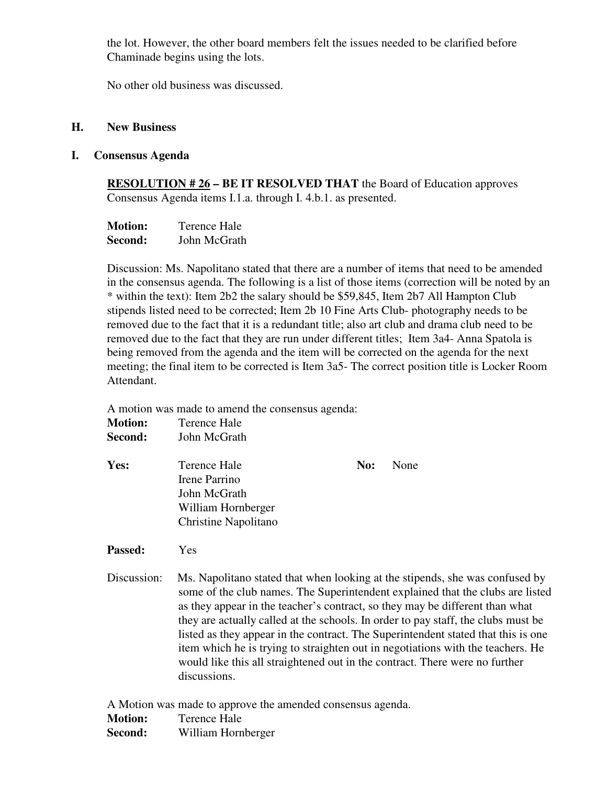the lot. However, the other board members felt the issues needed to be clarified before Chaminade begins using the lots.

No other old business was discussed.

#### **H. New Business**

#### **I. Consensus Agenda**

**RESOLUTION # 26 – BE IT RESOLVED THAT** the Board of Education approves Consensus Agenda items I.1.a. through I. 4.b.1. as presented.

| <b>Motion:</b> | Terence Hale |  |
|----------------|--------------|--|
| Second:        | John McGrath |  |

Discussion: Ms. Napolitano stated that there are a number of items that need to be amended in the consensus agenda. The following is a list of those items (correction will be noted by an \* within the text): Item 2b2 the salary should be \$59,845, Item 2b7 All Hampton Club stipends listed need to be corrected; Item 2b 10 Fine Arts Club- photography needs to be removed due to the fact that it is a redundant title; also art club and drama club need to be removed due to the fact that they are run under different titles; Item 3a4- Anna Spatola is being removed from the agenda and the item will be corrected on the agenda for the next meeting; the final item to be corrected is Item 3a5- The correct position title is Locker Room Attendant.

A motion was made to amend the consensus agenda:

| <b>Motion:</b> | Terence Hale                                                                                       |     |      |  |
|----------------|----------------------------------------------------------------------------------------------------|-----|------|--|
| Second:        | John McGrath                                                                                       |     |      |  |
| Yes:           | Terence Hale<br>Irene Parrino<br>John McGrath<br>William Hornberger<br><b>Christine Napolitano</b> | No: | None |  |

#### **Passed:** Yes

Discussion: Ms. Napolitano stated that when looking at the stipends, she was confused by some of the club names. The Superintendent explained that the clubs are listed as they appear in the teacher's contract, so they may be different than what they are actually called at the schools. In order to pay staff, the clubs must be listed as they appear in the contract. The Superintendent stated that this is one item which he is trying to straighten out in negotiations with the teachers. He would like this all straightened out in the contract. There were no further discussions.

A Motion was made to approve the amended consensus agenda. **Motion:** Terence Hale **Second:** William Hornberger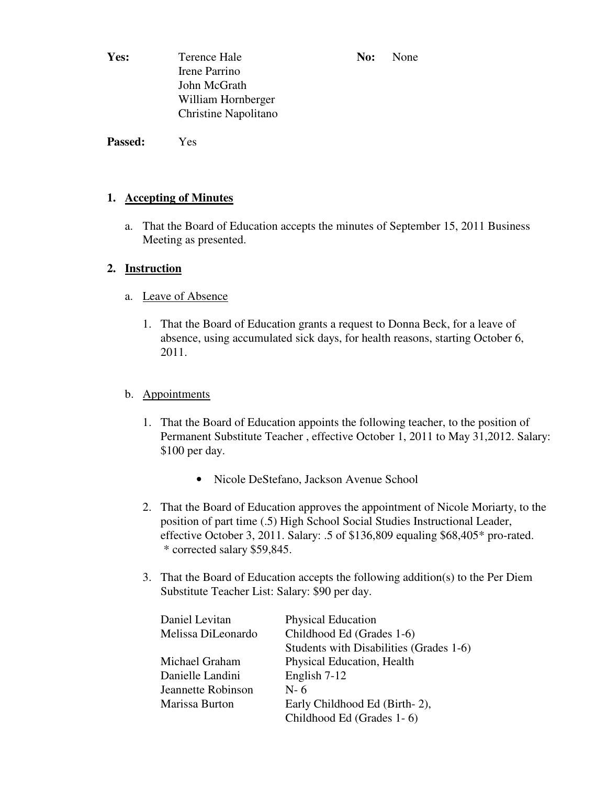**Yes:** Terence Hale **No: No: None** Irene Parrino John McGrath William Hornberger Christine Napolitano

**Passed:** Yes

# **1. Accepting of Minutes**

 a. That the Board of Education accepts the minutes of September 15, 2011 Business Meeting as presented.

# **2. Instruction**

- a. Leave of Absence
	- 1. That the Board of Education grants a request to Donna Beck, for a leave of absence, using accumulated sick days, for health reasons, starting October 6, 2011.

# b. Appointments

- 1. That the Board of Education appoints the following teacher, to the position of Permanent Substitute Teacher , effective October 1, 2011 to May 31,2012. Salary: \$100 per day.
	- Nicole DeStefano, Jackson Avenue School
- 2. That the Board of Education approves the appointment of Nicole Moriarty, to the position of part time (.5) High School Social Studies Instructional Leader, effective October 3, 2011. Salary: .5 of \$136,809 equaling \$68,405\* pro-rated. \* corrected salary \$59,845.
- 3. That the Board of Education accepts the following addition(s) to the Per Diem Substitute Teacher List: Salary: \$90 per day.

| Daniel Levitan     | <b>Physical Education</b>               |
|--------------------|-----------------------------------------|
| Melissa DiLeonardo | Childhood Ed (Grades 1-6)               |
|                    | Students with Disabilities (Grades 1-6) |
| Michael Graham     | Physical Education, Health              |
| Danielle Landini   | English 7-12                            |
| Jeannette Robinson | $N-6$                                   |
| Marissa Burton     | Early Childhood Ed (Birth-2),           |
|                    | Childhood Ed (Grades 1-6)               |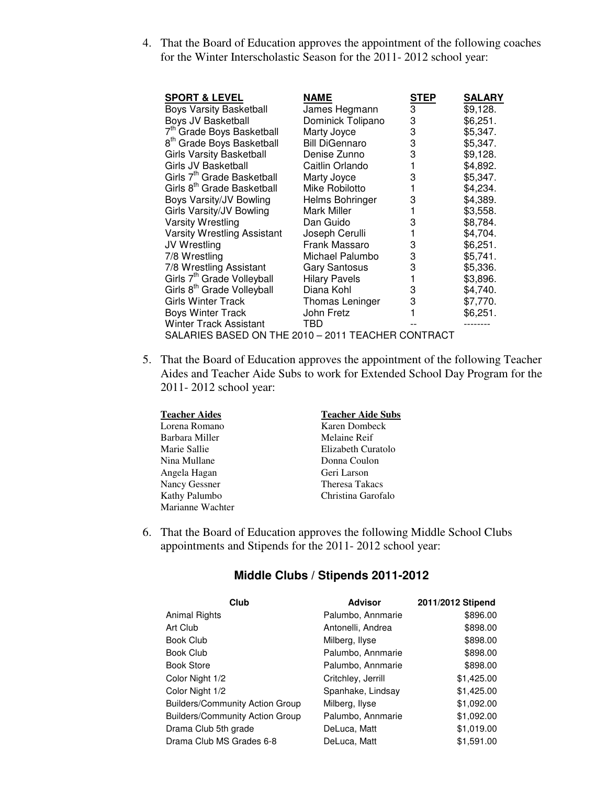4. That the Board of Education approves the appointment of the following coaches for the Winter Interscholastic Season for the 2011- 2012 school year:

| <b>SPORT &amp; LEVEL</b>                           | NAME                  | STEP | <b>SALARY</b> |
|----------------------------------------------------|-----------------------|------|---------------|
| <b>Boys Varsity Basketball</b>                     | James Hegmann         | 3    | \$9,128.      |
| Boys JV Basketball                                 | Dominick Tolipano     | 3    | \$6,251.      |
| 7 <sup>th</sup> Grade Boys Basketball              | Marty Joyce           | 3    | \$5,347.      |
| 8 <sup>th</sup> Grade Boys Basketball              | <b>Bill DiGennaro</b> | 3    | \$5,347.      |
| <b>Girls Varsity Basketball</b>                    | Denise Zunno          | 3    | \$9,128.      |
| Girls JV Basketball                                | Caitlin Orlando       |      | \$4,892.      |
| Girls 7 <sup>th</sup> Grade Basketball             | Marty Joyce           | 3    | \$5,347.      |
| Girls 8 <sup>th</sup> Grade Basketball             | Mike Robilotto        |      | \$4,234.      |
| Boys Varsity/JV Bowling                            | Helms Bohringer       | 3    | \$4,389.      |
| Girls Varsity/JV Bowling                           | Mark Miller           |      | \$3,558.      |
| <b>Varsity Wrestling</b>                           | Dan Guido             | 3    | \$8,784.      |
| Varsity Wrestling Assistant                        | Joseph Cerulli        |      | \$4,704.      |
| JV Wrestling                                       | Frank Massaro         | 3    | \$6,251.      |
| 7/8 Wrestling                                      | Michael Palumbo       | 3    | \$5,741.      |
| 7/8 Wrestling Assistant                            | <b>Gary Santosus</b>  | 3    | \$5,336.      |
| Girls 7 <sup>th</sup> Grade Volleyball             | <b>Hilary Pavels</b>  |      | \$3,896.      |
| Girls 8 <sup>th</sup> Grade Volleyball             | Diana Kohl            | 3    | \$4,740.      |
| <b>Girls Winter Track</b>                          | Thomas Leninger       | 3    | \$7,770.      |
| <b>Boys Winter Track</b>                           | John Fretz            |      | \$6,251.      |
| Winter Track Assistant                             | TBD                   |      |               |
| SALARIES BASED ON THE 2010 - 2011 TEACHER CONTRACT |                       |      |               |

 5. That the Board of Education approves the appointment of the following Teacher Aides and Teacher Aide Subs to work for Extended School Day Program for the 2011- 2012 school year:

| <b>Teacher Aides</b> | <b>Teacher Aide Subs</b> |
|----------------------|--------------------------|
| Lorena Romano        | Karen Dombeck            |
| Barbara Miller       | Melaine Reif             |
| Marie Sallie         | Elizabeth Curatolo       |
| Nina Mullane         | Donna Coulon             |
| Angela Hagan         | Geri Larson              |
| Nancy Gessner        | <b>Theresa Takacs</b>    |
| Kathy Palumbo        | Christina Garofalo       |
| Marianne Wachter     |                          |

6. That the Board of Education approves the following Middle School Clubs appointments and Stipends for the 2011- 2012 school year:

| Club                                   | <b>Advisor</b>     | 2011/2012 Stipend |
|----------------------------------------|--------------------|-------------------|
| Animal Rights                          | Palumbo, Annmarie  | \$896.00          |
| Art Club                               | Antonelli, Andrea  | \$898.00          |
| Book Club                              | Milberg, Ilyse     | \$898.00          |
| Book Club                              | Palumbo, Annmarie  | \$898.00          |
| Book Store                             | Palumbo, Annmarie  | \$898.00          |
| Color Night 1/2                        | Critchley, Jerrill | \$1,425.00        |
| Color Night 1/2                        | Spanhake, Lindsay  | \$1,425.00        |
| <b>Builders/Community Action Group</b> | Milberg, Ilyse     | \$1,092.00        |
| <b>Builders/Community Action Group</b> | Palumbo, Annmarie  | \$1,092.00        |
| Drama Club 5th grade                   | DeLuca, Matt       | \$1,019.00        |
| Drama Club MS Grades 6-8               | DeLuca, Matt       | \$1,591.00        |

# **Middle Clubs / Stipends 2011-2012**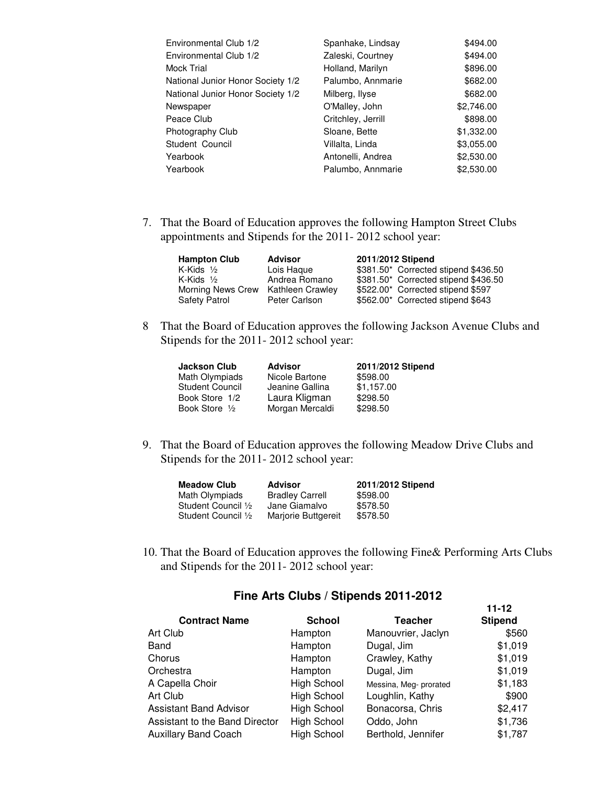| Spanhake, Lindsay  | \$494.00   |
|--------------------|------------|
| Zaleski, Courtney  | \$494.00   |
| Holland, Marilyn   | \$896.00   |
| Palumbo, Annmarie  | \$682.00   |
| Milberg, Ilyse     | \$682.00   |
| O'Malley, John     | \$2,746.00 |
| Critchley, Jerrill | \$898.00   |
| Sloane, Bette      | \$1,332.00 |
| Villalta, Linda    | \$3,055.00 |
| Antonelli, Andrea  | \$2,530.00 |
| Palumbo, Annmarie  | \$2,530.00 |
|                    |            |

7. That the Board of Education approves the following Hampton Street Clubs appointments and Stipends for the 2011- 2012 school year:

| <b>Hampton Club</b>  | <b>Advisor</b>   | 2011/2012 Stipend                    |
|----------------------|------------------|--------------------------------------|
| K-Kids $\frac{1}{2}$ | Lois Haque       | \$381.50* Corrected stipend \$436.50 |
| K-Kids $\frac{1}{2}$ | Andrea Romano    | \$381.50* Corrected stipend \$436.50 |
| Morning News Crew    | Kathleen Crawley | \$522.00* Corrected stipend \$597    |
| Safety Patrol        | Peter Carlson    | \$562.00* Corrected stipend \$643    |

 8 That the Board of Education approves the following Jackson Avenue Clubs and Stipends for the 2011- 2012 school year:

| <b>Jackson Club</b>      | <b>Advisor</b>  | 2011/2012 Stipend |
|--------------------------|-----------------|-------------------|
| Math Olympiads           | Nicole Bartone  | \$598.00          |
| Student Council          | Jeanine Gallina | \$1.157.00        |
| Book Store 1/2           | Laura Kligman   | \$298.50          |
| Book Store $\frac{1}{2}$ | Morgan Mercaldi | \$298.50          |

 9. That the Board of Education approves the following Meadow Drive Clubs and Stipends for the 2011- 2012 school year:

| <b>Meadow Club</b>  | Advisor                | 2011/2012 Stipend |
|---------------------|------------------------|-------------------|
| Math Olympiads      | <b>Bradley Carrell</b> | \$598.00          |
| Student Council 1/2 | Jane Giamalvo          | \$578.50          |
| Student Council 1/2 | Marjorie Buttgereit    | \$578.50          |

 10. That the Board of Education approves the following Fine& Performing Arts Clubs and Stipends for the 2011- 2012 school year:

**11-12** 

| <b>Contract Name</b>           | <b>School</b>      | <b>Teacher</b>         | <b>Stipend</b> |
|--------------------------------|--------------------|------------------------|----------------|
| Art Club                       | Hampton            | Manouvrier, Jaclyn     | \$560          |
| Band                           | Hampton            | Dugal, Jim             | \$1,019        |
| Chorus                         | Hampton            | Crawley, Kathy         | \$1,019        |
| Orchestra                      | Hampton            | Dugal, Jim             | \$1,019        |
| A Capella Choir                | <b>High School</b> | Messina, Meg- prorated | \$1,183        |
| Art Club                       | <b>High School</b> | Loughlin, Kathy        | \$900          |
| <b>Assistant Band Advisor</b>  | <b>High School</b> | Bonacorsa, Chris       | \$2,417        |
| Assistant to the Band Director | <b>High School</b> | Oddo, John             | \$1,736        |
| <b>Auxillary Band Coach</b>    | <b>High School</b> | Berthold, Jennifer     | \$1,787        |

### **Fine Arts Clubs / Stipends 2011-2012**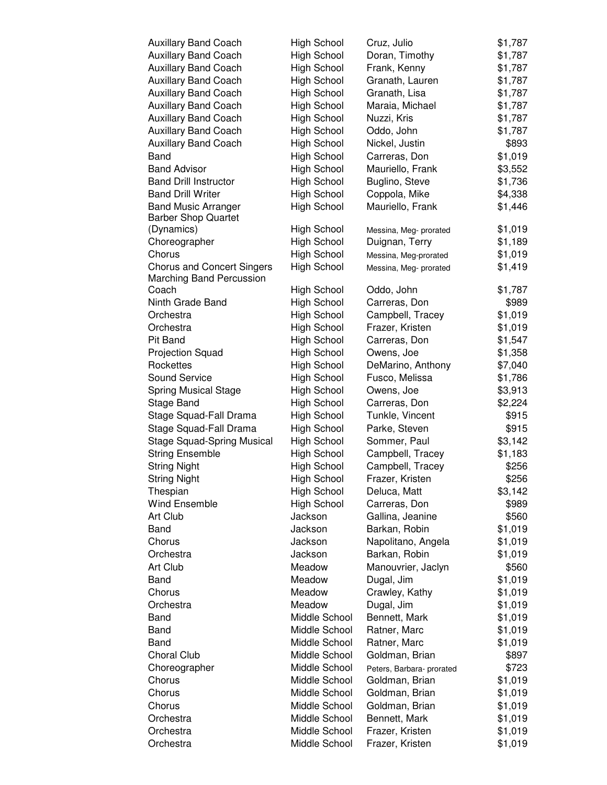| <b>Auxillary Band Coach</b>       | High School        | Cruz, Julio               | \$1,787 |
|-----------------------------------|--------------------|---------------------------|---------|
| <b>Auxillary Band Coach</b>       | <b>High School</b> | Doran, Timothy            | \$1,787 |
| <b>Auxillary Band Coach</b>       | <b>High School</b> | Frank, Kenny              | \$1,787 |
| <b>Auxillary Band Coach</b>       | <b>High School</b> | Granath, Lauren           | \$1,787 |
| <b>Auxillary Band Coach</b>       | <b>High School</b> | Granath, Lisa             | \$1,787 |
| <b>Auxillary Band Coach</b>       | <b>High School</b> | Maraia, Michael           | \$1,787 |
| <b>Auxillary Band Coach</b>       | <b>High School</b> | Nuzzi, Kris               | \$1,787 |
| <b>Auxillary Band Coach</b>       | <b>High School</b> | Oddo, John                | \$1,787 |
| <b>Auxillary Band Coach</b>       | <b>High School</b> | Nickel, Justin            | \$893   |
| Band                              | <b>High School</b> | Carreras, Don             | \$1,019 |
| <b>Band Advisor</b>               | <b>High School</b> | Mauriello, Frank          | \$3,552 |
| <b>Band Drill Instructor</b>      | <b>High School</b> | Buglino, Steve            | \$1,736 |
| <b>Band Drill Writer</b>          | <b>High School</b> | Coppola, Mike             | \$4,338 |
| <b>Band Music Arranger</b>        | <b>High School</b> | Mauriello, Frank          | \$1,446 |
| <b>Barber Shop Quartet</b>        |                    |                           |         |
| (Dynamics)                        | <b>High School</b> | Messina, Meg- prorated    | \$1,019 |
| Choreographer                     | <b>High School</b> | Duignan, Terry            | \$1,189 |
| Chorus                            | <b>High School</b> | Messina, Meg-prorated     | \$1,019 |
| <b>Chorus and Concert Singers</b> | <b>High School</b> | Messina, Meg- prorated    | \$1,419 |
| Marching Band Percussion          |                    |                           |         |
| Coach                             | <b>High School</b> | Oddo, John                | \$1,787 |
| Ninth Grade Band                  | <b>High School</b> | Carreras, Don             | \$989   |
| Orchestra                         | <b>High School</b> | Campbell, Tracey          | \$1,019 |
| Orchestra                         | <b>High School</b> | Frazer, Kristen           | \$1,019 |
| Pit Band                          | <b>High School</b> | Carreras, Don             | \$1,547 |
| Projection Squad                  | <b>High School</b> | Owens, Joe                | \$1,358 |
| Rockettes                         | <b>High School</b> | DeMarino, Anthony         | \$7,040 |
| Sound Service                     | <b>High School</b> | Fusco, Melissa            | \$1,786 |
| <b>Spring Musical Stage</b>       | <b>High School</b> | Owens, Joe                | \$3,913 |
| Stage Band                        | <b>High School</b> | Carreras, Don             | \$2,224 |
| Stage Squad-Fall Drama            | <b>High School</b> | Tunkle, Vincent           | \$915   |
| Stage Squad-Fall Drama            | <b>High School</b> | Parke, Steven             | \$915   |
| <b>Stage Squad-Spring Musical</b> | <b>High School</b> | Sommer, Paul              | \$3,142 |
| <b>String Ensemble</b>            | High School        | Campbell, Tracey          | \$1,183 |
| <b>String Night</b>               | <b>High School</b> | Campbell, Tracey          | \$256   |
| <b>String Night</b>               | <b>High School</b> | Frazer, Kristen           | \$256   |
| Thespian                          | <b>High School</b> | Deluca, Matt              | \$3,142 |
| <b>Wind Ensemble</b>              | <b>High School</b> | Carreras, Don             | \$989   |
| Art Club                          | Jackson            | Gallina, Jeanine          | \$560   |
| Band                              | Jackson            | Barkan, Robin             | \$1,019 |
| Chorus                            | Jackson            | Napolitano, Angela        | \$1,019 |
| Orchestra                         | Jackson            | Barkan, Robin             | \$1,019 |
| Art Club                          | Meadow             | Manouvrier, Jaclyn        | \$560   |
| Band                              | Meadow             | Dugal, Jim                | \$1,019 |
| Chorus                            | Meadow             | Crawley, Kathy            | \$1,019 |
| Orchestra                         | Meadow             | Dugal, Jim                | \$1,019 |
| Band                              | Middle School      | Bennett, Mark             | \$1,019 |
| Band                              | Middle School      | Ratner, Marc              | \$1,019 |
| Band                              | Middle School      | Ratner, Marc              | \$1,019 |
| Choral Club                       | Middle School      | Goldman, Brian            | \$897   |
| Choreographer                     | Middle School      | Peters, Barbara- prorated | \$723   |
| Chorus                            | Middle School      | Goldman, Brian            | \$1,019 |
| Chorus                            | Middle School      | Goldman, Brian            | \$1,019 |
| Chorus                            | Middle School      | Goldman, Brian            | \$1,019 |
| Orchestra                         | Middle School      | Bennett, Mark             | \$1,019 |
| Orchestra                         | Middle School      | Frazer, Kristen           | \$1,019 |
| Orchestra                         | Middle School      | Frazer, Kristen           | \$1,019 |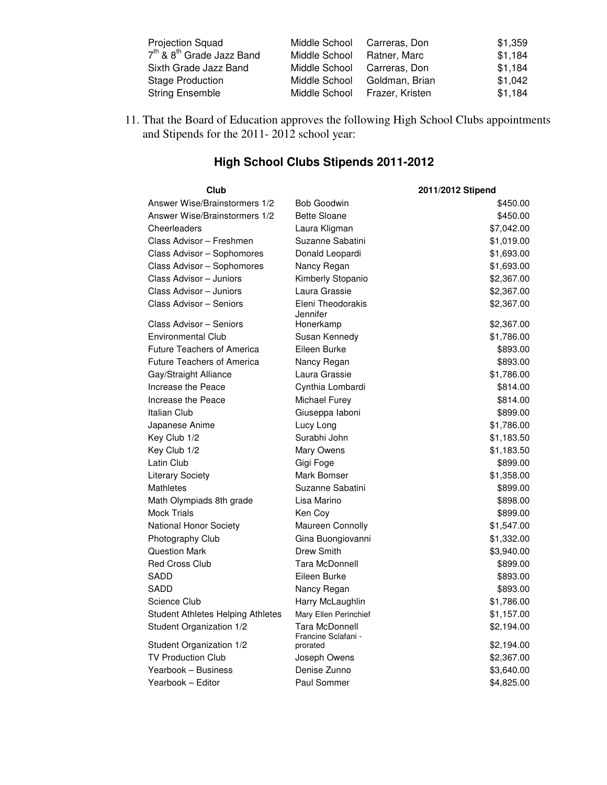| <b>Projection Squad</b>                           | Middle School | Carreras, Don   | \$1,359 |
|---------------------------------------------------|---------------|-----------------|---------|
| 7 <sup>th</sup> & 8 <sup>th</sup> Grade Jazz Band | Middle School | Ratner, Marc    | \$1,184 |
| Sixth Grade Jazz Band                             | Middle School | Carreras, Don   | \$1,184 |
| <b>Stage Production</b>                           | Middle School | Goldman, Brian  | \$1,042 |
| <b>String Ensemble</b>                            | Middle School | Frazer, Kristen | \$1,184 |

11. That the Board of Education approves the following High School Clubs appointments and Stipends for the 2011- 2012 school year:

| Club                              | 2011/2012 Stipend                     |            |
|-----------------------------------|---------------------------------------|------------|
| Answer Wise/Brainstormers 1/2     | <b>Bob Goodwin</b>                    | \$450.00   |
| Answer Wise/Brainstormers 1/2     | <b>Bette Sloane</b>                   | \$450.00   |
| Cheerleaders                      | Laura Kligman                         | \$7,042.00 |
| Class Advisor - Freshmen          | Suzanne Sabatini                      | \$1,019.00 |
| Class Advisor - Sophomores        | Donald Leopardi                       | \$1,693.00 |
| Class Advisor - Sophomores        | Nancy Regan                           | \$1,693.00 |
| Class Advisor - Juniors           | Kimberly Stopanio                     | \$2,367.00 |
| Class Advisor - Juniors           | Laura Grassie                         | \$2,367.00 |
| Class Advisor - Seniors           | Eleni Theodorakis<br>Jennifer         | \$2,367.00 |
| Class Advisor - Seniors           | Honerkamp                             | \$2,367.00 |
| Environmental Club                | Susan Kennedy                         | \$1,786.00 |
| <b>Future Teachers of America</b> | Eileen Burke                          | \$893.00   |
| <b>Future Teachers of America</b> | Nancy Regan                           | \$893.00   |
| Gay/Straight Alliance             | Laura Grassie                         | \$1,786.00 |
| Increase the Peace                | Cynthia Lombardi                      | \$814.00   |
| Increase the Peace                | Michael Furey                         | \$814.00   |
| Italian Club                      | Giuseppa laboni                       | \$899.00   |
| Japanese Anime                    | Lucy Long                             | \$1,786.00 |
| Key Club 1/2                      | Surabhi John                          | \$1,183.50 |
| Key Club 1/2                      | Mary Owens                            | \$1,183.50 |
| Latin Club                        | Gigi Foge                             | \$899.00   |
| <b>Literary Society</b>           | Mark Bomser                           | \$1,358.00 |
| Mathletes                         | Suzanne Sabatini                      | \$899.00   |
| Math Olympiads 8th grade          | Lisa Marino                           | \$898.00   |
| Mock Trials                       | Ken Coy                               | \$899.00   |
| National Honor Society            | Maureen Connolly                      | \$1,547.00 |
| Photography Club                  | Gina Buongiovanni                     | \$1,332.00 |
| <b>Question Mark</b>              | <b>Drew Smith</b>                     | \$3,940.00 |
| <b>Red Cross Club</b>             | <b>Tara McDonnell</b>                 | \$899.00   |
| SADD                              | Eileen Burke                          | \$893.00   |
| SADD                              | Nancy Regan                           | \$893.00   |
| Science Club                      | Harry McLaughlin                      | \$1,786.00 |
| Student Athletes Helping Athletes | Mary Ellen Perinchief                 | \$1,157.00 |
| Student Organization 1/2          | Tara McDonnell<br>Francine Sclafani - | \$2,194.00 |
| Student Organization 1/2          | prorated                              | \$2,194.00 |
| <b>TV Production Club</b>         | Joseph Owens                          | \$2,367.00 |
| Yearbook – Business               | Denise Zunno                          | \$3,640.00 |
| Yearbook - Editor                 | Paul Sommer                           | \$4,825.00 |

# **High School Clubs Stipends 2011-2012**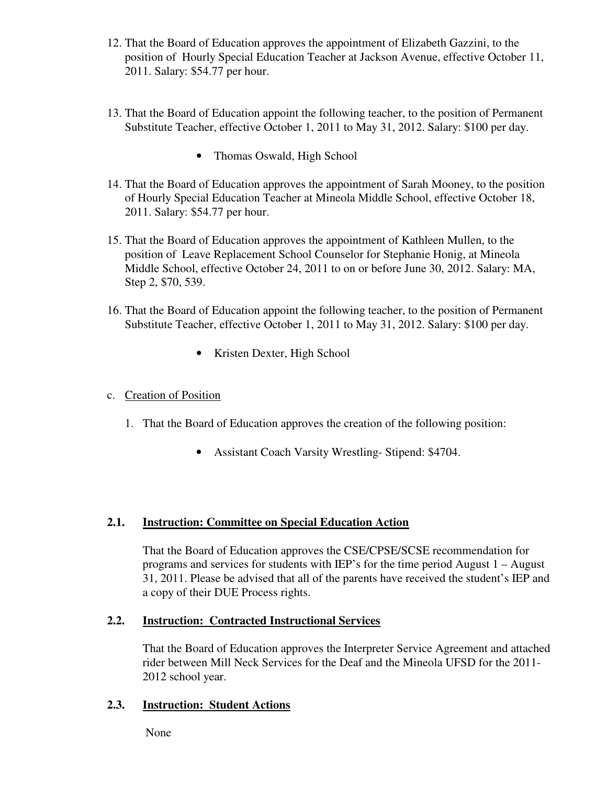- 12. That the Board of Education approves the appointment of Elizabeth Gazzini, to the position of Hourly Special Education Teacher at Jackson Avenue, effective October 11, 2011. Salary: \$54.77 per hour.
- 13. That the Board of Education appoint the following teacher, to the position of Permanent Substitute Teacher, effective October 1, 2011 to May 31, 2012. Salary: \$100 per day.
	- Thomas Oswald, High School
- 14. That the Board of Education approves the appointment of Sarah Mooney, to the position of Hourly Special Education Teacher at Mineola Middle School, effective October 18, 2011. Salary: \$54.77 per hour.
- 15. That the Board of Education approves the appointment of Kathleen Mullen, to the position of Leave Replacement School Counselor for Stephanie Honig, at Mineola Middle School, effective October 24, 2011 to on or before June 30, 2012. Salary: MA, Step 2, \$70, 539.
- 16. That the Board of Education appoint the following teacher, to the position of Permanent Substitute Teacher, effective October 1, 2011 to May 31, 2012. Salary: \$100 per day.
	- Kristen Dexter, High School

# c. Creation of Position

- 1. That the Board of Education approves the creation of the following position:
	- Assistant Coach Varsity Wrestling-Stipend: \$4704.

# **2.1. Instruction: Committee on Special Education Action**

That the Board of Education approves the CSE/CPSE/SCSE recommendation for programs and services for students with IEP's for the time period August 1 – August 31, 2011. Please be advised that all of the parents have received the student's IEP and a copy of their DUE Process rights.

# **2.2. Instruction: Contracted Instructional Services**

That the Board of Education approves the Interpreter Service Agreement and attached rider between Mill Neck Services for the Deaf and the Mineola UFSD for the 2011- 2012 school year.

# **2.3. Instruction: Student Actions**

None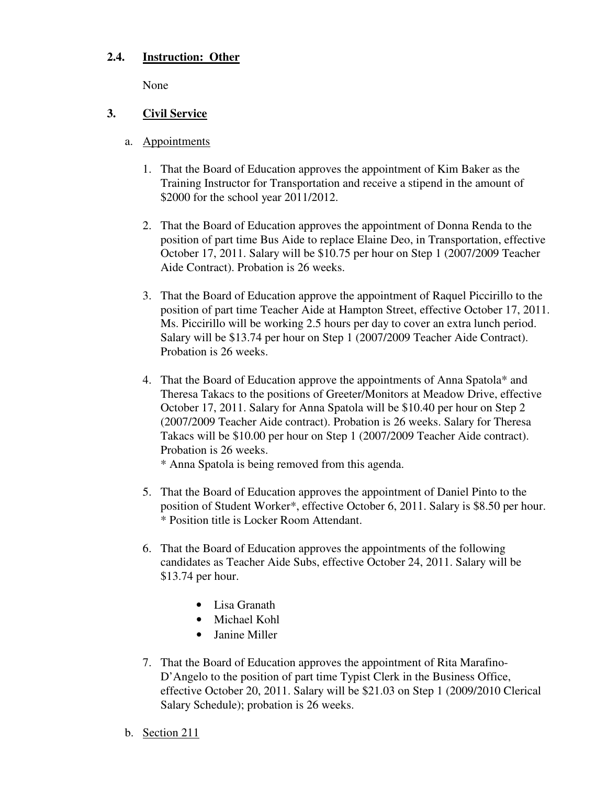## **2.4. Instruction: Other**

None

## **3. Civil Service**

- a. Appointments
	- 1. That the Board of Education approves the appointment of Kim Baker as the Training Instructor for Transportation and receive a stipend in the amount of \$2000 for the school year 2011/2012.
	- 2. That the Board of Education approves the appointment of Donna Renda to the position of part time Bus Aide to replace Elaine Deo, in Transportation, effective October 17, 2011. Salary will be \$10.75 per hour on Step 1 (2007/2009 Teacher Aide Contract). Probation is 26 weeks.
	- 3. That the Board of Education approve the appointment of Raquel Piccirillo to the position of part time Teacher Aide at Hampton Street, effective October 17, 2011. Ms. Piccirillo will be working 2.5 hours per day to cover an extra lunch period. Salary will be \$13.74 per hour on Step 1 (2007/2009 Teacher Aide Contract). Probation is 26 weeks.
	- 4. That the Board of Education approve the appointments of Anna Spatola\* and Theresa Takacs to the positions of Greeter/Monitors at Meadow Drive, effective October 17, 2011. Salary for Anna Spatola will be \$10.40 per hour on Step 2 (2007/2009 Teacher Aide contract). Probation is 26 weeks. Salary for Theresa Takacs will be \$10.00 per hour on Step 1 (2007/2009 Teacher Aide contract). Probation is 26 weeks.

\* Anna Spatola is being removed from this agenda.

- 5. That the Board of Education approves the appointment of Daniel Pinto to the position of Student Worker\*, effective October 6, 2011. Salary is \$8.50 per hour. \* Position title is Locker Room Attendant.
- 6. That the Board of Education approves the appointments of the following candidates as Teacher Aide Subs, effective October 24, 2011. Salary will be \$13.74 per hour.
	- Lisa Granath
	- Michael Kohl
	- Janine Miller
- 7. That the Board of Education approves the appointment of Rita Marafino-D'Angelo to the position of part time Typist Clerk in the Business Office, effective October 20, 2011. Salary will be \$21.03 on Step 1 (2009/2010 Clerical Salary Schedule); probation is 26 weeks.
- b. Section 211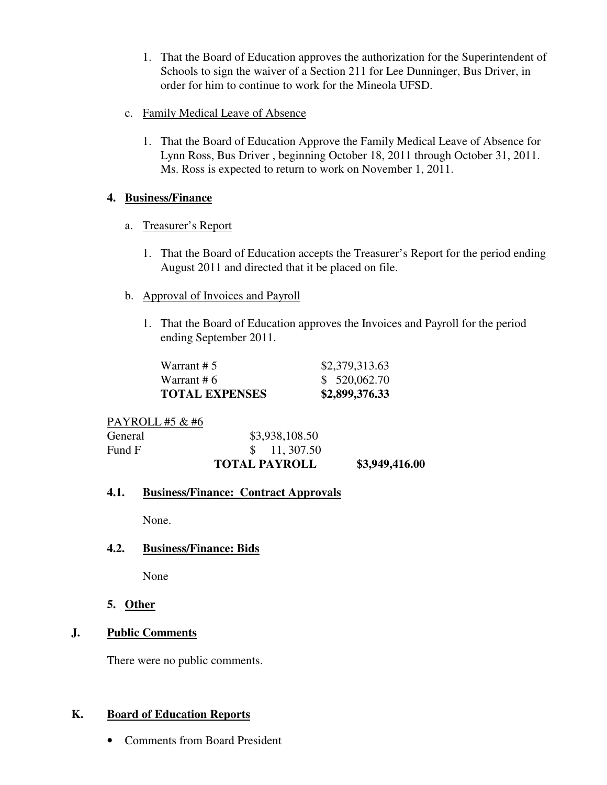- 1. That the Board of Education approves the authorization for the Superintendent of Schools to sign the waiver of a Section 211 for Lee Dunninger, Bus Driver, in order for him to continue to work for the Mineola UFSD.
- c. Family Medical Leave of Absence
	- 1. That the Board of Education Approve the Family Medical Leave of Absence for Lynn Ross, Bus Driver , beginning October 18, 2011 through October 31, 2011. Ms. Ross is expected to return to work on November 1, 2011.

# **4. Business/Finance**

- a. Treasurer's Report
	- 1. That the Board of Education accepts the Treasurer's Report for the period ending August 2011 and directed that it be placed on file.
- b. Approval of Invoices and Payroll
	- 1. That the Board of Education approves the Invoices and Payroll for the period ending September 2011.

| <b>TOTAL EXPENSES</b> | \$2,899,376.33 |
|-----------------------|----------------|
| Warrant # 6           | \$520,062.70   |
| Warrant # $51$        | \$2,379,313.63 |

PAYROLL #5 & #6

| <b>General</b><br>Fund F | \$3,938,108.50<br>$\frac{\$}{11,307.50}$ |                |
|--------------------------|------------------------------------------|----------------|
|                          | <b>TOTAL PAYROLL</b>                     | \$3,949,416.00 |

# **4.1. Business/Finance: Contract Approvals**

None.

# **4.2. Business/Finance: Bids**

None

# **5. Other**

# **J. Public Comments**

There were no public comments.

# **K. Board of Education Reports**

• Comments from Board President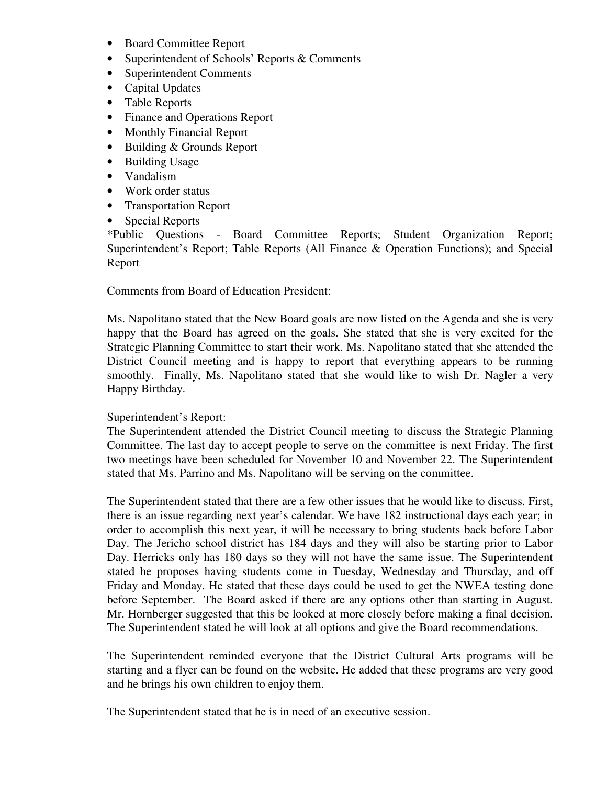- Board Committee Report
- Superintendent of Schools' Reports & Comments
- Superintendent Comments
- Capital Updates
- Table Reports
- Finance and Operations Report
- Monthly Financial Report
- Building & Grounds Report
- Building Usage
- Vandalism
- Work order status
- Transportation Report
- Special Reports

\*Public Questions - Board Committee Reports; Student Organization Report; Superintendent's Report; Table Reports (All Finance & Operation Functions); and Special Report

Comments from Board of Education President:

Ms. Napolitano stated that the New Board goals are now listed on the Agenda and she is very happy that the Board has agreed on the goals. She stated that she is very excited for the Strategic Planning Committee to start their work. Ms. Napolitano stated that she attended the District Council meeting and is happy to report that everything appears to be running smoothly. Finally, Ms. Napolitano stated that she would like to wish Dr. Nagler a very Happy Birthday.

# Superintendent's Report:

The Superintendent attended the District Council meeting to discuss the Strategic Planning Committee. The last day to accept people to serve on the committee is next Friday. The first two meetings have been scheduled for November 10 and November 22. The Superintendent stated that Ms. Parrino and Ms. Napolitano will be serving on the committee.

The Superintendent stated that there are a few other issues that he would like to discuss. First, there is an issue regarding next year's calendar. We have 182 instructional days each year; in order to accomplish this next year, it will be necessary to bring students back before Labor Day. The Jericho school district has 184 days and they will also be starting prior to Labor Day. Herricks only has 180 days so they will not have the same issue. The Superintendent stated he proposes having students come in Tuesday, Wednesday and Thursday, and off Friday and Monday. He stated that these days could be used to get the NWEA testing done before September. The Board asked if there are any options other than starting in August. Mr. Hornberger suggested that this be looked at more closely before making a final decision. The Superintendent stated he will look at all options and give the Board recommendations.

The Superintendent reminded everyone that the District Cultural Arts programs will be starting and a flyer can be found on the website. He added that these programs are very good and he brings his own children to enjoy them.

The Superintendent stated that he is in need of an executive session.